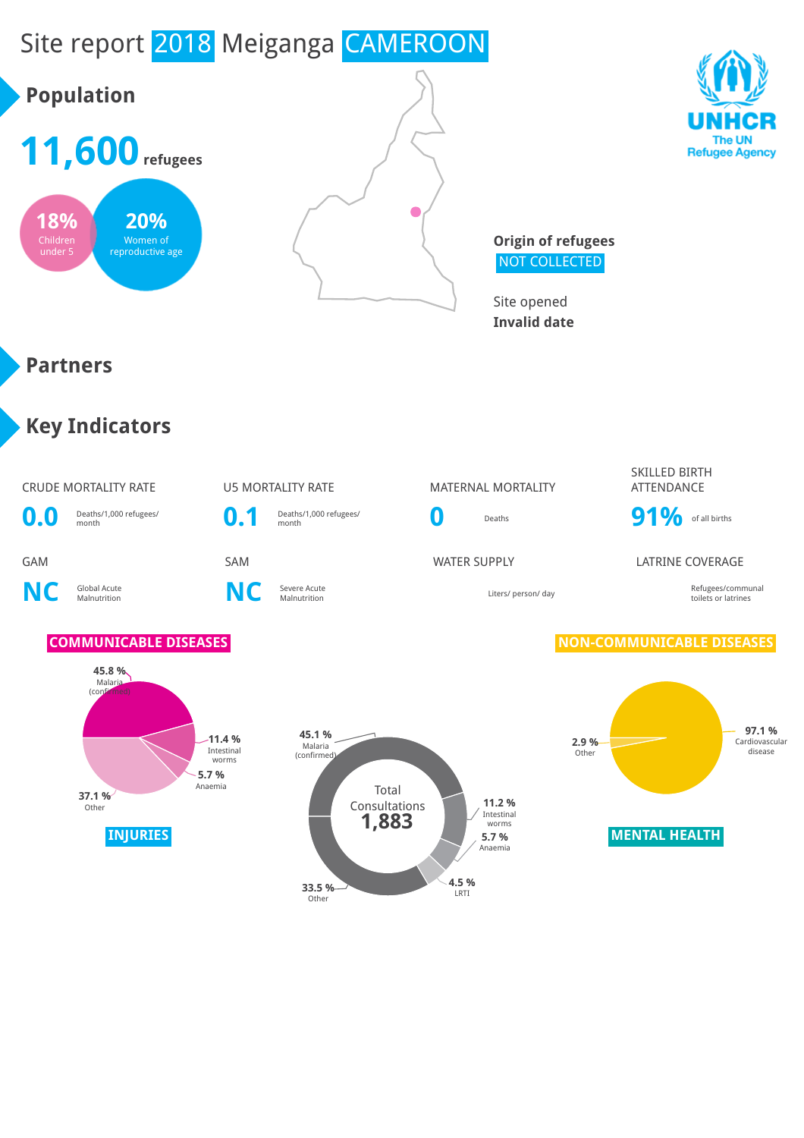## Site report 2018 Meiganga CAMEROON

# **Population**







**Origin of refugees** NOT COLLECTED

Site opened **Invalid date**

#### **Partners**

#### **Key Indicators**

#### CRUDE MORTALITY RATE **U5 MORTALITY RATE** MATERNAL MORTALITY SKILLED BIRTH **ATTFNDANCE 0.0** Deaths/1,000 refugees/ **0.1** Deaths/1,000 refugees/ **0** Deaths **91%** of all births GAM SAM SAM SAM WATER SUPPLY LATRINE COVERAGE **NC** Global Acute **C** Severe Acute<br>Malnutrition **NC** Severe Acute Malnutrition Liters/ person/ day Refugees/communal toilets or latrines **COMMUNICABLE DISEASES NON-COMMUNICABLE DISEASES 45.8 %** Malaria  $($ conf $)$





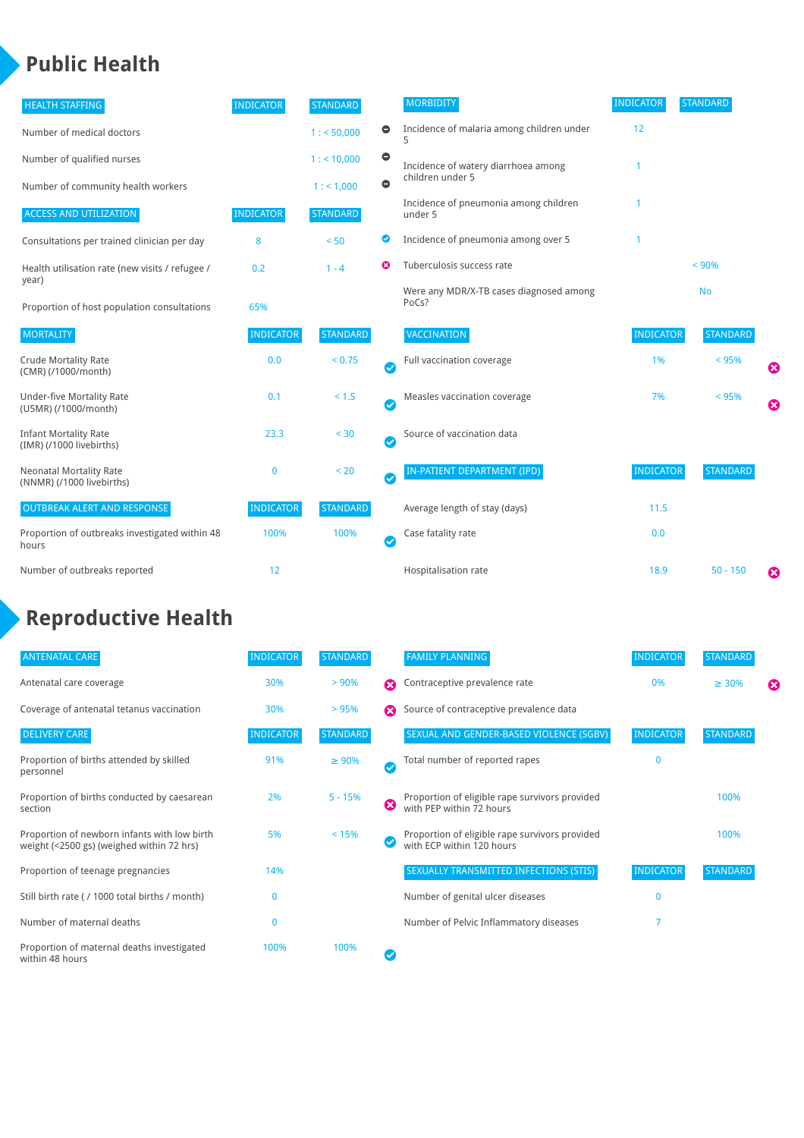#### **Public Health**

| <b>HEALTH STAFFING</b>                                      | <b>INDICATOR</b> | <b>STANDARD</b> |               | <b>MORBIDITY</b>                                 | <b>INDICATOR</b> | <b>STANDARD</b> |   |
|-------------------------------------------------------------|------------------|-----------------|---------------|--------------------------------------------------|------------------|-----------------|---|
| Number of medical doctors                                   |                  | 1: 50,000       | $\bullet$     | Incidence of malaria among children under        | 12               |                 |   |
| Number of qualified nurses                                  |                  | $1:$ < 10,000   | $\bullet$     | Incidence of watery diarrhoea among              |                  |                 |   |
| Number of community health workers                          |                  | 1:1,000         | $\bullet$     | children under 5                                 |                  |                 |   |
| <b>ACCESS AND UTILIZATION</b>                               | <b>INDICATOR</b> | <b>STANDARD</b> |               | Incidence of pneumonia among children<br>under 5 |                  |                 |   |
| Consultations per trained clinician per day                 | 8                | < 50            | ◎             | Incidence of pneumonia among over 5              |                  |                 |   |
| Health utilisation rate (new visits / refugee /             | 0.2              | $1 - 4$         | ೞ             | Tuberculosis success rate                        |                  | < 90%           |   |
| year)<br>Proportion of host population consultations        | 65%              |                 |               | Were any MDR/X-TB cases diagnosed among<br>PoCs? |                  | <b>No</b>       |   |
| <b>MORTALITY</b>                                            | <b>INDICATOR</b> | <b>STANDARD</b> |               | <b>VACCINATION</b>                               | <b>INDICATOR</b> | <b>STANDARD</b> |   |
| <b>Crude Mortality Rate</b><br>(CMR) (/1000/month)          | 0.0              | < 0.75          | Ø             | Full vaccination coverage                        | 1%               | < 95%           | € |
| Under-five Mortality Rate<br>(U5MR) (/1000/month)           | 0.1              | $< 1.5$         | Ø             | Measles vaccination coverage                     | 7%               | < 95%           | Ø |
| <b>Infant Mortality Rate</b><br>(IMR) (/1000 livebirths)    | 23.3             | $30$            | Ø             | Source of vaccination data                       |                  |                 |   |
| <b>Neonatal Mortality Rate</b><br>(NNMR) (/1000 livebirths) | 0                | < 20            | Ø             | IN-PATIENT DEPARTMENT (IPD)                      | <b>INDICATOR</b> | <b>STANDARD</b> |   |
| <b>OUTBREAK ALERT AND RESPONSE</b>                          | <b>INDICATOR</b> | <b>STANDARD</b> |               | Average length of stay (days)                    | 11.5             |                 |   |
| Proportion of outbreaks investigated within 48<br>hours     | 100%             | 100%            | $\bm{\sigma}$ | Case fatality rate                               | 0.0              |                 |   |
| Number of outbreaks reported                                | 12               |                 |               | Hospitalisation rate                             | 18.9             | $50 - 150$      | ೞ |

#### **Reproductive Health**

| <b>ANTENATAL CARE</b>                                                                     | <b>INDICATOR</b> | <b>STANDARD</b> |   | <b>FAMILY PLANNING</b>                                                      | <b>INDICATOR</b> | <b>STANDARD</b> |   |
|-------------------------------------------------------------------------------------------|------------------|-----------------|---|-----------------------------------------------------------------------------|------------------|-----------------|---|
| Antenatal care coverage                                                                   | 30%              | > 90%           | ⋒ | Contraceptive prevalence rate                                               | 0%               | $\geq 30\%$     | ⊠ |
| Coverage of antenatal tetanus vaccination                                                 | 30%              | >95%            |   | Source of contraceptive prevalence data                                     |                  |                 |   |
| <b>DELIVERY CARE</b>                                                                      | <b>INDICATOR</b> | <b>STANDARD</b> |   | SEXUAL AND GENDER-BASED VIOLENCE (SGBV)                                     | <b>INDICATOR</b> | <b>STANDARD</b> |   |
| Proportion of births attended by skilled<br>personnel                                     | 91%              | $\geq 90\%$     | Ø | Total number of reported rapes                                              | $\mathbf{0}$     |                 |   |
| Proportion of births conducted by caesarean<br>section                                    | 2%               | $5 - 15%$       | ظ | Proportion of eligible rape survivors provided<br>with PEP within 72 hours  |                  | 100%            |   |
| Proportion of newborn infants with low birth<br>weight (<2500 gs) (weighed within 72 hrs) | 5%               | < 15%           |   | Proportion of eligible rape survivors provided<br>with ECP within 120 hours |                  | 100%            |   |
| Proportion of teenage pregnancies                                                         | 14%              |                 |   | SEXUALLY TRANSMITTED INFECTIONS (STIS)                                      | <b>INDICATOR</b> | <b>STANDARD</b> |   |
| Still birth rate (/ 1000 total births / month)                                            |                  |                 |   | Number of genital ulcer diseases                                            | $\Omega$         |                 |   |
| Number of maternal deaths                                                                 | 0                |                 |   | Number of Pelvic Inflammatory diseases                                      |                  |                 |   |
| Proportion of maternal deaths investigated<br>within 48 hours                             | 100%             | 100%            |   |                                                                             |                  |                 |   |